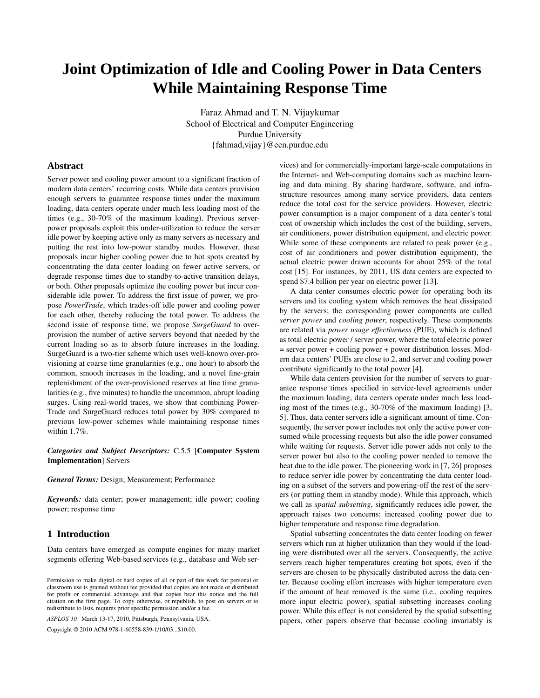# **Joint Optimization of Idle and Cooling Power in Data Centers While Maintaining Response Time**

Faraz Ahmad and T. N. Vijaykumar School of Electrical and Computer Engineering Purdue University {fahmad,vijay}@ecn.purdue.edu

## **Abstract**

Server power and cooling power amount to a significant fraction of modern data centers' recurring costs. While data centers provision enough servers to guarantee response times under the maximum loading, data centers operate under much less loading most of the times (e.g., 30-70% of the maximum loading). Previous serverpower proposals exploit this under-utilization to reduce the server idle power by keeping active only as many servers as necessary and putting the rest into low-power standby modes. However, these proposals incur higher cooling power due to hot spots created by concentrating the data center loading on fewer active servers, or degrade response times due to standby-to-active transition delays, or both. Other proposals optimize the cooling power but incur considerable idle power. To address the first issue of power, we propose *PowerTrade*, which trades-off idle power and cooling power for each other, thereby reducing the total power. To address the second issue of response time, we propose *SurgeGuard* to overprovision the number of active servers beyond that needed by the current loading so as to absorb future increases in the loading. SurgeGuard is a two-tier scheme which uses well-known over-provisioning at coarse time granularities (e.g., one hour) to absorb the common, smooth increases in the loading, and a novel fine-grain replenishment of the over-provisioned reserves at fine time granularities (e.g., five minutes) to handle the uncommon, abrupt loading surges. Using real-world traces, we show that combining Power-Trade and SurgeGuard reduces total power by 30% compared to previous low-power schemes while maintaining response times within 1.7%.

#### *Categories and Subject Descriptors:* C.5.5 [**Computer System Implementation**] Servers

#### *General Terms:* Design; Measurement; Performance

*Keywords:* data center; power management; idle power; cooling power; response time

#### <span id="page-0-0"></span>**1 Introduction**

Data centers have emerged as compute engines for many market segments offering Web-based services (e.g., database and Web ser-

*ASPLOS'10* March 13-17, 2010, Pittsburgh, Pennsylvania, USA.

Copyright © 2010 ACM 978-1-60558-839-1/10/03...\$10.00.

vices) and for commercially-important large-scale computations in the Internet- and Web-computing domains such as machine learning and data mining. By sharing hardware, software, and infrastructure resources among many service providers, data centers reduce the total cost for the service providers. However, electric power consumption is a major component of a data center's total cost of ownership which includes the cost of the building, servers, air conditioners, power distribution equipment, and electric power. While some of these components are related to peak power (e.g., cost of air conditioners and power distribution equipment), the actual electric power drawn accounts for about 25% of the total cost [15]. For instances, by 2011, US data centers are expected to spend \$7.4 billion per year on electric power [13].

A data center consumes electric power for operating both its servers and its cooling system which removes the heat dissipated by the servers; the corresponding power components are called *server power* and *cooling power*, respectively. These components are related via *power usage effectiveness* (PUE), which is defined as total electric power / server power, where the total electric power = server power + cooling power + power distribution losses. Modern data centers' PUEs are close to 2, and server and cooling power contribute significantly to the total power [4].

While data centers provision for the number of servers to guarantee response times specified in service-level agreements under the maximum loading, data centers operate under much less loading most of the times (e.g., 30-70% of the maximum loading) [3, 5]. Thus, data center servers idle a significant amount of time. Consequently, the server power includes not only the active power consumed while processing requests but also the idle power consumed while waiting for requests. Server idle power adds not only to the server power but also to the cooling power needed to remove the heat due to the idle power. The pioneering work in [7, 26] proposes to reduce server idle power by concentrating the data center loading on a subset of the servers and powering-off the rest of the servers (or putting them in standby mode). While this approach, which we call as *spatial subsetting*, significantly reduces idle power, the approach raises two concerns: increased cooling power due to higher temperature and response time degradation.

Spatial subsetting concentrates the data center loading on fewer servers which run at higher utilization than they would if the loading were distributed over all the servers. Consequently, the active servers reach higher temperatures creating hot spots, even if the servers are chosen to be physically distributed across the data center. Because cooling effort increases with higher temperature even if the amount of heat removed is the same (i.e., cooling requires more input electric power), spatial subsetting increases cooling power. While this effect is not considered by the spatial subsetting papers, other papers observe that because cooling invariably is

Permission to make digital or hard copies of all or part of this work for personal or classroom use is granted without fee provided that copies are not made or distributed for profit or commercial advantage and that copies bear this notice and the full citation on the first page. To copy otherwise, or republish, to post on servers or to redistribute to lists, requires prior specific permission and/or a fee.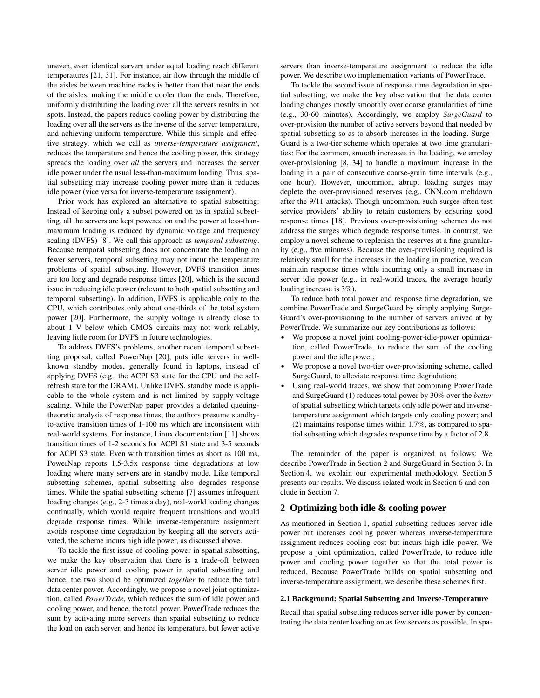uneven, even identical servers under equal loading reach different temperatures [21, 31]. For instance, air flow through the middle of the aisles between machine racks is better than that near the ends of the aisles, making the middle cooler than the ends. Therefore, uniformly distributing the loading over all the servers results in hot spots. Instead, the papers reduce cooling power by distributing the loading over all the servers as the inverse of the server temperature, and achieving uniform temperature. While this simple and effective strategy, which we call as *inverse-temperature assignment*, reduces the temperature and hence the cooling power, this strategy spreads the loading over *all* the servers and increases the server idle power under the usual less-than-maximum loading. Thus, spatial subsetting may increase cooling power more than it reduces idle power (vice versa for inverse-temperature assignment).

Prior work has explored an alternative to spatial subsetting: Instead of keeping only a subset powered on as in spatial subsetting, all the servers are kept powered on and the power at less-thanmaximum loading is reduced by dynamic voltage and frequency scaling (DVFS) [8]. We call this approach as *temporal subsetting*. Because temporal subsetting does not concentrate the loading on fewer servers, temporal subsetting may not incur the temperature problems of spatial subsetting. However, DVFS transition times are too long and degrade response times [20], which is the second issue in reducing idle power (relevant to both spatial subsetting and temporal subsetting). In addition, DVFS is applicable only to the CPU, which contributes only about one-thirds of the total system power [20]. Furthermore, the supply voltage is already close to about 1 V below which CMOS circuits may not work reliably, leaving little room for DVFS in future technologies.

To address DVFS's problems, another recent temporal subsetting proposal, called PowerNap [20], puts idle servers in wellknown standby modes, generally found in laptops, instead of applying DVFS (e.g., the ACPI S3 state for the CPU and the selfrefresh state for the DRAM). Unlike DVFS, standby mode is applicable to the whole system and is not limited by supply-voltage scaling. While the PowerNap paper provides a detailed queuingtheoretic analysis of response times, the authors presume standbyto-active transition times of 1-100 ms which are inconsistent with real-world systems. For instance, Linux documentation [11] shows transition times of 1-2 seconds for ACPI S1 state and 3-5 seconds for ACPI S3 state. Even with transition times as short as 100 ms, PowerNap reports 1.5-3.5x response time degradations at low loading where many servers are in standby mode. Like temporal subsetting schemes, spatial subsetting also degrades response times. While the spatial subsetting scheme [7] assumes infrequent loading changes (e.g., 2-3 times a day), real-world loading changes continually, which would require frequent transitions and would degrade response times. While inverse-temperature assignment avoids response time degradation by keeping all the servers activated, the scheme incurs high idle power, as discussed above.

To tackle the first issue of cooling power in spatial subsetting, we make the key observation that there is a trade-off between server idle power and cooling power in spatial subsetting and hence, the two should be optimized *together* to reduce the total data center power. Accordingly, we propose a novel joint optimization, called *PowerTrade*, which reduces the sum of idle power and cooling power, and hence, the total power. PowerTrade reduces the sum by activating more servers than spatial subsetting to reduce the load on each server, and hence its temperature, but fewer active

servers than inverse-temperature assignment to reduce the idle power. We describe two implementation variants of PowerTrade.

To tackle the second issue of response time degradation in spatial subsetting, we make the key observation that the data center loading changes mostly smoothly over coarse granularities of time (e.g., 30-60 minutes). Accordingly, we employ *SurgeGuard* to over-provision the number of active servers beyond that needed by spatial subsetting so as to absorb increases in the loading. Surge-Guard is a two-tier scheme which operates at two time granularities: For the common, smooth increases in the loading, we employ over-provisioning [8, 34] to handle a maximum increase in the loading in a pair of consecutive coarse-grain time intervals (e.g., one hour). However, uncommon, abrupt loading surges may deplete the over-provisioned reserves (e.g., CNN.com meltdown after the 9/11 attacks). Though uncommon, such surges often test service providers' ability to retain customers by ensuring good response times [18]. Previous over-provisioning schemes do not address the surges which degrade response times. In contrast, we employ a novel scheme to replenish the reserves at a fine granularity (e.g., five minutes). Because the over-provisioning required is relatively small for the increases in the loading in practice, we can maintain response times while incurring only a small increase in server idle power (e.g., in real-world traces, the average hourly loading increase is 3%).

To reduce both total power and response time degradation, we combine PowerTrade and SurgeGuard by simply applying Surge-Guard's over-provisioning to the number of servers arrived at by PowerTrade. We summarize our key contributions as follows:

- **•** We propose a novel joint cooling-power-idle-power optimization, called PowerTrade, to reduce the sum of the cooling power and the idle power;
- We propose a novel two-tier over-provisioning scheme, called SurgeGuard, to alleviate response time degradation;
- **•** Using real-world traces, we show that combining PowerTrade and SurgeGuard (1) reduces total power by 30% over the *better* of spatial subsetting which targets only idle power and inversetemperature assignment which targets only cooling power; and (2) maintains response times within 1.7%, as compared to spatial subsetting which degrades response time by a factor of 2.8.

The remainder of the paper is organized as follows: We describe PowerTrade in [Section 2](#page-1-0) and SurgeGuard in [Section 3](#page-5-0). In [Section 4,](#page-7-0) we explain our experimental methodology. [Section 5](#page-9-0) presents our results. We discuss related work in [Section 6](#page-12-0) and conclude in [Section 7.](#page-12-1)

## <span id="page-1-0"></span>**2 Optimizing both idle & cooling power**

As mentioned in [Section 1,](#page-0-0) spatial subsetting reduces server idle power but increases cooling power whereas inverse-temperature assignment reduces cooling cost but incurs high idle power. We propose a joint optimization, called PowerTrade, to reduce idle power and cooling power together so that the total power is reduced. Because PowerTrade builds on spatial subsetting and inverse-temperature assignment, we describe these schemes first.

#### **2.1 Background: Spatial Subsetting and Inverse-Temperature**

Recall that spatial subsetting reduces server idle power by concentrating the data center loading on as few servers as possible. In spa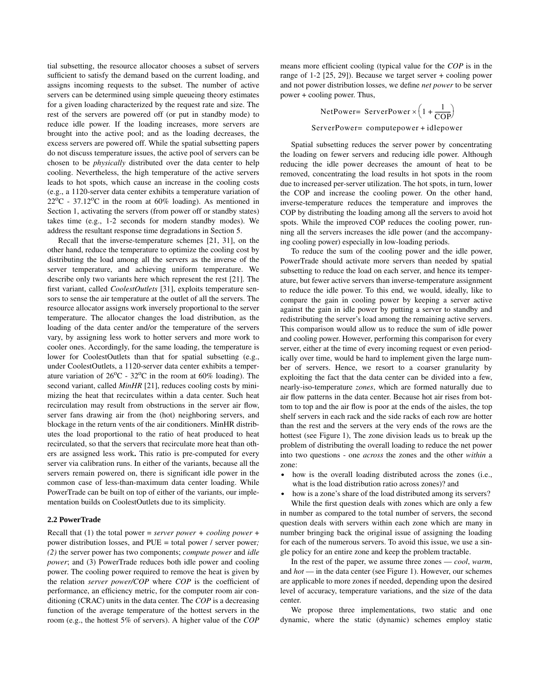tial subsetting, the resource allocator chooses a subset of servers sufficient to satisfy the demand based on the current loading, and assigns incoming requests to the subset. The number of active servers can be determined using simple queueing theory estimates for a given loading characterized by the request rate and size. The rest of the servers are powered off (or put in standby mode) to reduce idle power. If the loading increases, more servers are brought into the active pool; and as the loading decreases, the excess servers are powered off. While the spatial subsetting papers do not discuss temperature issues, the active pool of servers can be chosen to be *physically* distributed over the data center to help cooling. Nevertheless, the high temperature of the active servers leads to hot spots, which cause an increase in the cooling costs (e.g., a 1120-server data center exhibits a temperature variation of  $22^{\circ}$ C - 37.12<sup>o</sup>C in the room at 60% loading). As mentioned in [Section 1,](#page-0-0) activating the servers (from power off or standby states) takes time (e.g., 1-2 seconds for modern standby modes). We address the resultant response time degradations in [Section 5.](#page-9-0)

Recall that the inverse-temperature schemes [21, 31], on the other hand, reduce the temperature to optimize the cooling cost by distributing the load among all the servers as the inverse of the server temperature, and achieving uniform temperature. We describe only two variants here which represent the rest [21]. The first variant, called *CoolestOutlets* [31], exploits temperature sensors to sense the air temperature at the outlet of all the servers. The resource allocator assigns work inversely proportional to the server temperature. The allocator changes the load distribution, as the loading of the data center and/or the temperature of the servers vary, by assigning less work to hotter servers and more work to cooler ones. Accordingly, for the same loading, the temperature is lower for CoolestOutlets than that for spatial subsetting (e.g., under CoolestOutlets, a 1120-server data center exhibits a temperature variation of  $26^{\circ}\text{C}$  -  $32^{\circ}\text{C}$  in the room at 60% loading). The second variant, called *MinHR* [21], reduces cooling costs by minimizing the heat that recirculates within a data center. Such heat recirculation may result from obstructions in the server air flow, server fans drawing air from the (hot) neighboring servers, and blockage in the return vents of the air conditioners. MinHR distributes the load proportional to the ratio of heat produced to heat recirculated, so that the servers that recirculate more heat than others are assigned less work**.** This ratio is pre-computed for every server via calibration runs. In either of the variants, because all the servers remain powered on, there is significant idle power in the common case of less-than-maximum data center loading. While PowerTrade can be built on top of either of the variants, our implementation builds on CoolestOutlets due to its simplicity.

#### <span id="page-2-0"></span>**2.2 PowerTrade**

Recall that (1) the total power = *server power + cooling power* + power distribution losses, and PUE = total power / server power*; (2)* the server power has two components; *compute power* and *idle power*; and (3) PowerTrade reduces both idle power and cooling power. The cooling power required to remove the heat is given by the relation *server power/COP* where *COP* is the coefficient of performance, an efficiency metric, for the computer room air conditioning (CRAC) units in the data center. The *COP* is a decreasing function of the average temperature of the hottest servers in the room (e.g., the hottest 5% of servers). A higher value of the *COP*

means more efficient cooling (typical value for the *COP* is in the range of 1-2 [25, 29]). Because we target server + cooling power and not power distribution losses, we define *net power* to be server power + cooling power. Thus,

NetPower = ServerPower × 
$$
\left(1 + \frac{1}{COP}\right)
$$
  
ServerPower = computerpower + idlepower

Spatial subsetting reduces the server power by concentrating the loading on fewer servers and reducing idle power. Although reducing the idle power decreases the amount of heat to be removed, concentrating the load results in hot spots in the room due to increased per-server utilization. The hot spots, in turn, lower the COP and increase the cooling power. On the other hand, inverse-temperature reduces the temperature and improves the COP by distributing the loading among all the servers to avoid hot spots. While the improved COP reduces the cooling power, running all the servers increases the idle power (and the accompanying cooling power) especially in low-loading periods.

To reduce the sum of the cooling power and the idle power, PowerTrade should activate more servers than needed by spatial subsetting to reduce the load on each server, and hence its temperature, but fewer active servers than inverse-temperature assignment to reduce the idle power. To this end, we would, ideally, like to compare the gain in cooling power by keeping a server active against the gain in idle power by putting a server to standby and redistributing the server's load among the remaining active servers. This comparison would allow us to reduce the sum of idle power and cooling power. However, performing this comparison for every server, either at the time of every incoming request or even periodically over time, would be hard to implement given the large number of servers. Hence, we resort to a coarser granularity by exploiting the fact that the data center can be divided into a few, nearly-iso-temperature *zones*, which are formed naturally due to air flow patterns in the data center. Because hot air rises from bottom to top and the air flow is poor at the ends of the aisles, the top shelf servers in each rack and the side racks of each row are hotter than the rest and the servers at the very ends of the rows are the hottest (see [Figure 1\)](#page-3-0), The zone division leads us to break up the problem of distributing the overall loading to reduce the net power into two questions - one *across* the zones and the other *within* a zone:

- **•** how is the overall loading distributed across the zones (i.e., what is the load distribution ratio across zones)? and
- **•** how is a zone's share of the load distributed among its servers? While the first question deals with zones which are only a few in number as compared to the total number of servers, the second question deals with servers within each zone which are many in number bringing back the original issue of assigning the loading

for each of the numerous servers. To avoid this issue, we use a single policy for an entire zone and keep the problem tractable. In the rest of the paper, we assume three zones — *cool*, *warm*, and *hot* — in the data center (see [Figure 1](#page-3-0)). However, our schemes are applicable to more zones if needed, depending upon the desired level of accuracy, temperature variations, and the size of the data center.

We propose three implementations, two static and one dynamic, where the static (dynamic) schemes employ static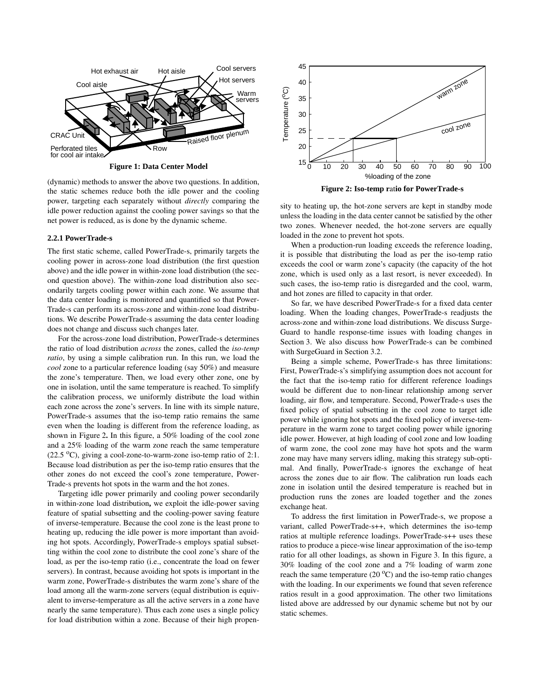

**Figure 1: Data Center Model**

<span id="page-3-0"></span>(dynamic) methods to answer the above two questions. In addition, the static schemes reduce both the idle power and the cooling power, targeting each separately without *directly* comparing the idle power reduction against the cooling power savings so that the net power is reduced, as is done by the dynamic scheme.

#### <span id="page-3-2"></span>**2.2.1 PowerTrade-s**

The first static scheme, called PowerTrade-s, primarily targets the cooling power in across-zone load distribution (the first question above) and the idle power in within-zone load distribution (the second question above). The within-zone load distribution also secondarily targets cooling power within each zone. We assume that the data center loading is monitored and quantified so that Power-Trade-s can perform its across-zone and within-zone load distributions. We describe PowerTrade-s assuming the data center loading does not change and discuss such changes later.

For the across-zone load distribution, PowerTrade-s determines the ratio of load distribution *across* the zones, called the *iso-temp ratio*, by using a simple calibration run. In this run, we load the *cool* zone to a particular reference loading (say 50%) and measure the zone's temperature. Then, we load every other zone, one by one in isolation, until the same temperature is reached. To simplify the calibration process, we uniformly distribute the load within each zone across the zone's servers. In line with its simple nature, PowerTrade-s assumes that the iso-temp ratio remains the same even when the loading is different from the reference loading, as shown in [Figure 2](#page-3-1)**.** In this figure, a 50% loading of the cool zone and a 25% loading of the warm zone reach the same temperature (22.5  $^{\circ}$ C), giving a cool-zone-to-warm-zone iso-temp ratio of 2:1. Because load distribution as per the iso-temp ratio ensures that the other zones do not exceed the cool's zone temperature, Power-Trade-s prevents hot spots in the warm and the hot zones.

Targeting idle power primarily and cooling power secondarily in within-zone load distribution**,** we exploit the idle-power saving feature of spatial subsetting and the cooling-power saving feature of inverse-temperature. Because the cool zone is the least prone to heating up, reducing the idle power is more important than avoiding hot spots. Accordingly, PowerTrade-s employs spatial subsetting within the cool zone to distribute the cool zone's share of the load, as per the iso-temp ratio (i.e., concentrate the load on fewer servers). In contrast, because avoiding hot spots is important in the warm zone, PowerTrade-s distributes the warm zone's share of the load among all the warm-zone servers (equal distribution is equivalent to inverse-temperature as all the active servers in a zone have nearly the same temperature). Thus each zone uses a single policy for load distribution within a zone. Because of their high propen-



**Figure 2: Iso-temp r**at**io for PowerTrade-s**

<span id="page-3-1"></span>sity to heating up, the hot-zone servers are kept in standby mode unless the loading in the data center cannot be satisfied by the other two zones. Whenever needed, the hot-zone servers are equally loaded in the zone to prevent hot spots.

When a production-run loading exceeds the reference loading, it is possible that distributing the load as per the iso-temp ratio exceeds the cool or warm zone's capacity (the capacity of the hot zone, which is used only as a last resort, is never exceeded). In such cases, the iso-temp ratio is disregarded and the cool, warm, and hot zones are filled to capacity in that order.

So far, we have described PowerTrade-s for a fixed data center loading. When the loading changes, PowerTrade-s readjusts the across-zone and within-zone load distributions. We discuss Surge-Guard to handle response-time issues with loading changes in [Section 3.](#page-5-0) We also discuss how PowerTrade-s can be combined with SurgeGuard in [Section 3.2](#page-6-0).

Being a simple scheme, PowerTrade-s has three limitations: First, PowerTrade-s's simplifying assumption does not account for the fact that the iso-temp ratio for different reference loadings would be different due to non-linear relationship among server loading, air flow, and temperature. Second, PowerTrade-s uses the fixed policy of spatial subsetting in the cool zone to target idle power while ignoring hot spots and the fixed policy of inverse-temperature in the warm zone to target cooling power while ignoring idle power. However, at high loading of cool zone and low loading of warm zone, the cool zone may have hot spots and the warm zone may have many servers idling, making this strategy sub-optimal. And finally, PowerTrade-s ignores the exchange of heat across the zones due to air flow. The calibration run loads each zone in isolation until the desired temperature is reached but in production runs the zones are loaded together and the zones exchange heat.

To address the first limitation in PowerTrade-s, we propose a variant, called PowerTrade-s++, which determines the iso-temp ratios at multiple reference loadings. PowerTrade-s++ uses these ratios to produce a piece-wise linear approximation of the iso-temp ratio for all other loadings, as shown in [Figure 3.](#page-4-0) In this figure, a 30% loading of the cool zone and a 7% loading of warm zone reach the same temperature (20 $\rm{^{\circ}C}$ ) and the iso-temp ratio changes with the loading. In our experiments we found that seven reference ratios result in a good approximation. The other two limitations listed above are addressed by our dynamic scheme but not by our static schemes.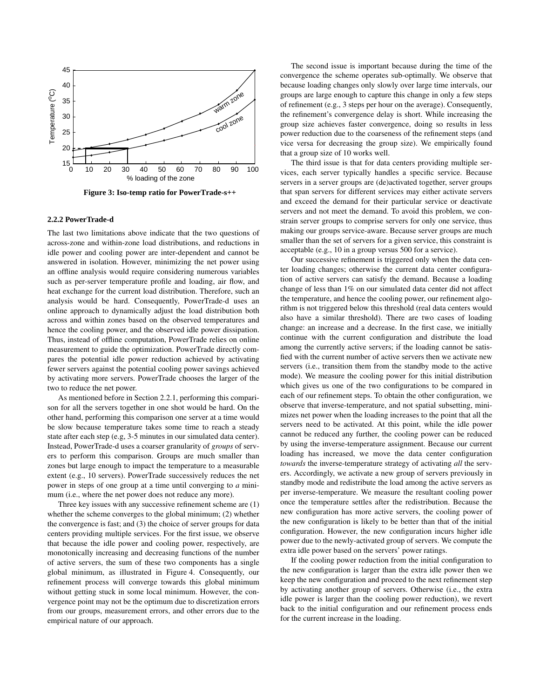

**Figure 3: Iso-temp ratio for PowerTrade-s++**

#### <span id="page-4-1"></span><span id="page-4-0"></span>**2.2.2 PowerTrade-d**

The last two limitations above indicate that the two questions of across-zone and within-zone load distributions, and reductions in idle power and cooling power are inter-dependent and cannot be answered in isolation. However, minimizing the net power using an offline analysis would require considering numerous variables such as per-server temperature profile and loading, air flow, and heat exchange for the current load distribution. Therefore, such an analysis would be hard. Consequently, PowerTrade-d uses an online approach to dynamically adjust the load distribution both across and within zones based on the observed temperatures and hence the cooling power, and the observed idle power dissipation. Thus, instead of offline computation, PowerTrade relies on online measurement to guide the optimization. PowerTrade directly compares the potential idle power reduction achieved by activating fewer servers against the potential cooling power savings achieved by activating more servers. PowerTrade chooses the larger of the two to reduce the net power.

As mentioned before in [Section 2.2.1,](#page-3-2) performing this comparison for all the servers together in one shot would be hard. On the other hand, performing this comparison one server at a time would be slow because temperature takes some time to reach a steady state after each step (e.g, 3-5 minutes in our simulated data center). Instead, PowerTrade-d uses a coarser granularity of *groups* of servers to perform this comparison. Groups are much smaller than zones but large enough to impact the temperature to a measurable extent (e.g., 10 servers). PowerTrade successively reduces the net power in steps of one group at a time until converging to *a* minimum (i.e., where the net power does not reduce any more).

Three key issues with any successive refinement scheme are (1) whether the scheme converges to the global minimum; (2) whether the convergence is fast; and (3) the choice of server groups for data centers providing multiple services. For the first issue, we observe that because the idle power and cooling power, respectively, are monotonically increasing and decreasing functions of the number of active servers, the sum of these two components has a single global minimum, as illustrated in [Figure 4.](#page-5-1) Consequently, our refinement process will converge towards this global minimum without getting stuck in some local minimum. However, the convergence point may not be the optimum due to discretization errors from our groups, measurement errors, and other errors due to the empirical nature of our approach.

The second issue is important because during the time of the convergence the scheme operates sub-optimally. We observe that because loading changes only slowly over large time intervals, our groups are large enough to capture this change in only a few steps of refinement (e.g., 3 steps per hour on the average). Consequently, the refinement's convergence delay is short. While increasing the group size achieves faster convergence, doing so results in less power reduction due to the coarseness of the refinement steps (and vice versa for decreasing the group size). We empirically found that a group size of 10 works well.

The third issue is that for data centers providing multiple services, each server typically handles a specific service. Because servers in a server groups are (de)activated together, server groups that span servers for different services may either activate servers and exceed the demand for their particular service or deactivate servers and not meet the demand. To avoid this problem, we constrain server groups to comprise servers for only one service, thus making our groups service-aware. Because server groups are much smaller than the set of servers for a given service, this constraint is acceptable (e.g., 10 in a group versus 500 for a service).

Our successive refinement is triggered only when the data center loading changes; otherwise the current data center configuration of active servers can satisfy the demand. Because a loading change of less than 1% on our simulated data center did not affect the temperature, and hence the cooling power, our refinement algorithm is not triggered below this threshold (real data centers would also have a similar threshold). There are two cases of loading change: an increase and a decrease. In the first case, we initially continue with the current configuration and distribute the load among the currently active servers; if the loading cannot be satisfied with the current number of active servers then we activate new servers (i.e., transition them from the standby mode to the active mode). We measure the cooling power for this initial distribution which gives us one of the two configurations to be compared in each of our refinement steps. To obtain the other configuration, we observe that inverse-temperature, and not spatial subsetting, minimizes net power when the loading increases to the point that all the servers need to be activated. At this point, while the idle power cannot be reduced any further, the cooling power can be reduced by using the inverse-temperature assignment. Because our current loading has increased, we move the data center configuration *towards* the inverse-temperature strategy of activating *all* the servers. Accordingly, we activate a new group of servers previously in standby mode and redistribute the load among the active servers as per inverse-temperature. We measure the resultant cooling power once the temperature settles after the redistribution. Because the new configuration has more active servers, the cooling power of the new configuration is likely to be better than that of the initial configuration. However, the new configuration incurs higher idle power due to the newly-activated group of servers. We compute the extra idle power based on the servers' power ratings.

If the cooling power reduction from the initial configuration to the new configuration is larger than the extra idle power then we keep the new configuration and proceed to the next refinement step by activating another group of servers. Otherwise (i.e., the extra idle power is larger than the cooling power reduction), we revert back to the initial configuration and our refinement process ends for the current increase in the loading.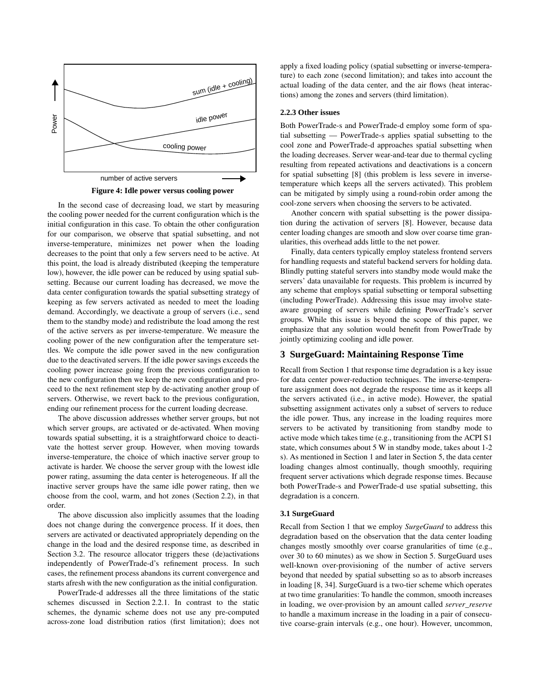

**Figure 4: Idle power versus cooling power**

<span id="page-5-1"></span>In the second case of decreasing load, we start by measuring the cooling power needed for the current configuration which is the initial configuration in this case. To obtain the other configuration for our comparison, we observe that spatial subsetting, and not inverse-temperature, minimizes net power when the loading decreases to the point that only a few servers need to be active. At this point, the load is already distributed (keeping the temperature low), however, the idle power can be reduced by using spatial subsetting. Because our current loading has decreased, we move the data center configuration towards the spatial subsetting strategy of keeping as few servers activated as needed to meet the loading demand. Accordingly, we deactivate a group of servers (i.e., send them to the standby mode) and redistribute the load among the rest of the active servers as per inverse-temperature. We measure the cooling power of the new configuration after the temperature settles. We compute the idle power saved in the new configuration due to the deactivated servers. If the idle power savings exceeds the cooling power increase going from the previous configuration to the new configuration then we keep the new configuration and proceed to the next refinement step by de-activating another group of servers. Otherwise, we revert back to the previous configuration, ending our refinement process for the current loading decrease.

The above discussion addresses whether server groups, but not which server groups, are activated or de-activated. When moving towards spatial subsetting, it is a straightforward choice to deactivate the hottest server group. However, when moving towards inverse-temperature, the choice of which inactive server group to activate is harder. We choose the server group with the lowest idle power rating, assuming the data center is heterogeneous. If all the inactive server groups have the same idle power rating, then we choose from the cool, warm, and hot zones [\(Section 2.2\)](#page-2-0), in that order.

The above discussion also implicitly assumes that the loading does not change during the convergence process. If it does, then servers are activated or deactivated appropriately depending on the change in the load and the desired response time, as described in [Section 3.2](#page-6-0). The resource allocator triggers these (de)activations independently of PowerTrade-d's refinement process. In such cases, the refinement process abandons its current convergence and starts afresh with the new configuration as the initial configuration.

PowerTrade-d addresses all the three limitations of the static schemes discussed in [Section 2.2.1](#page-3-2). In contrast to the static schemes, the dynamic scheme does not use any pre-computed across-zone load distribution ratios (first limitation); does not apply a fixed loading policy (spatial subsetting or inverse-temperature) to each zone (second limitation); and takes into account the actual loading of the data center, and the air flows (heat interactions) among the zones and servers (third limitation).

#### **2.2.3 Other issues**

Both PowerTrade-s and PowerTrade-d employ some form of spatial subsetting — PowerTrade-s applies spatial subsetting to the cool zone and PowerTrade-d approaches spatial subsetting when the loading decreases. Server wear-and-tear due to thermal cycling resulting from repeated activations and deactivations is a concern for spatial subsetting [8] (this problem is less severe in inversetemperature which keeps all the servers activated). This problem can be mitigated by simply using a round-robin order among the cool-zone servers when choosing the servers to be activated.

Another concern with spatial subsetting is the power dissipation during the activation of servers [8]. However, because data center loading changes are smooth and slow over coarse time granularities, this overhead adds little to the net power.

Finally, data centers typically employ stateless frontend servers for handling requests and stateful backend servers for holding data. Blindly putting stateful servers into standby mode would make the servers' data unavailable for requests. This problem is incurred by any scheme that employs spatial subsetting or temporal subsetting (including PowerTrade). Addressing this issue may involve stateaware grouping of servers while defining PowerTrade's server groups. While this issue is beyond the scope of this paper, we emphasize that any solution would benefit from PowerTrade by jointly optimizing cooling and idle power.

## <span id="page-5-0"></span>**3 SurgeGuard: Maintaining Response Time**

Recall from [Section 1](#page-0-0) that response time degradation is a key issue for data center power-reduction techniques. The inverse-temperature assignment does not degrade the response time as it keeps all the servers activated (i.e., in active mode). However, the spatial subsetting assignment activates only a subset of servers to reduce the idle power. Thus, any increase in the loading requires more servers to be activated by transitioning from standby mode to active mode which takes time (e.g., transitioning from the ACPI S1 state, which consumes about 5 W in standby mode, takes about 1-2 s). As mentioned in [Section 1](#page-0-0) and later in [Section 5,](#page-9-0) the data center loading changes almost continually, though smoothly, requiring frequent server activations which degrade response times. Because both PowerTrade-s and PowerTrade-d use spatial subsetting, this degradation is a concern.

#### <span id="page-5-2"></span>**3.1 SurgeGuard**

Recall from [Section 1](#page-0-0) that we employ *SurgeGuard* to address this degradation based on the observation that the data center loading changes mostly smoothly over coarse granularities of time (e.g., over 30 to 60 minutes) as we show in [Section 5.](#page-9-0) SurgeGuard uses well-known over-provisioning of the number of active servers beyond that needed by spatial subsetting so as to absorb increases in loading [8, 34]. SurgeGuard is a two-tier scheme which operates at two time granularities: To handle the common, smooth increases in loading, we over-provision by an amount called *server\_reserve* to handle a maximum increase in the loading in a pair of consecutive coarse-grain intervals (e.g., one hour). However, uncommon,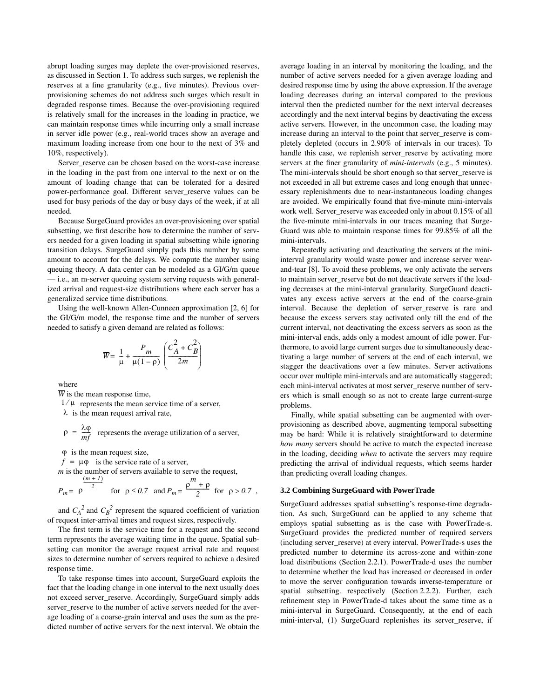abrupt loading surges may deplete the over-provisioned reserves, as discussed in [Section 1](#page-0-0). To address such surges, we replenish the reserves at a fine granularity (e.g., five minutes). Previous overprovisioning schemes do not address such surges which result in degraded response times. Because the over-provisioning required is relatively small for the increases in the loading in practice, we can maintain response times while incurring only a small increase in server idle power (e.g., real-world traces show an average and maximum loading increase from one hour to the next of 3% and 10%, respectively).

Server\_reserve can be chosen based on the worst-case increase in the loading in the past from one interval to the next or on the amount of loading change that can be tolerated for a desired power-performance goal. Different server\_reserve values can be used for busy periods of the day or busy days of the week, if at all needed.

Because SurgeGuard provides an over-provisioning over spatial subsetting, we first describe how to determine the number of servers needed for a given loading in spatial subsetting while ignoring transition delays. SurgeGuard simply pads this number by some amount to account for the delays. We compute the number using queuing theory. A data center can be modeled as a GI/G/m queue — i.e., an m-server queuing system serving requests with generalized arrival and request-size distributions where each server has a generalized service time distributions.

Using the well-known Allen-Cunneen approximation [2, 6] for the GI/G/m model, the response time and the number of servers needed to satisfy a given demand are related as follows:

$$
\overline{W} = \frac{1}{\mu} + \frac{P_m}{\mu(1-\rho)} \left( \frac{C_A^2 + C_B^2}{2m} \right)
$$

where

 $\overline{W}$  is the mean response time,

 $1/\mu$  represents the mean service time of a server,

 $\lambda$  is the mean request arrival rate,

$$
\rho = \frac{\lambda \varphi}{mf}
$$
 represents the average utilization of a server,

is the mean request size, ϕ

 $f = \mu \varphi$  is the service rate of a server,

*m* is the number of servers available to serve the request,

$$
P_m = \rho \frac{\frac{(m+1)}{2}}{2}
$$
 for  $\rho \le 0.7$  and  $P_m = \frac{\rho^m + \rho}{2}$  for  $\rho > 0.7$ ,

and  $C_A^2$  and  $C_B^2$  represent the squared coefficient of variation of request inter-arrival times and request sizes, respectively.

The first term is the service time for a request and the second term represents the average waiting time in the queue. Spatial subsetting can monitor the average request arrival rate and request sizes to determine number of servers required to achieve a desired response time.

To take response times into account, SurgeGuard exploits the fact that the loading change in one interval to the next usually does not exceed server\_reserve. Accordingly, SurgeGuard simply adds server reserve to the number of active servers needed for the average loading of a coarse-grain interval and uses the sum as the predicted number of active servers for the next interval. We obtain the average loading in an interval by monitoring the loading, and the number of active servers needed for a given average loading and desired response time by using the above expression. If the average loading decreases during an interval compared to the previous interval then the predicted number for the next interval decreases accordingly and the next interval begins by deactivating the excess active servers. However, in the uncommon case, the loading may increase during an interval to the point that server\_reserve is completely depleted (occurs in 2.90% of intervals in our traces). To handle this case, we replenish server\_reserve by activating more servers at the finer granularity of *mini-intervals* (e.g., 5 minutes). The mini-intervals should be short enough so that server\_reserve is not exceeded in all but extreme cases and long enough that unnecessary replenishments due to near-instantaneous loading changes are avoided. We empirically found that five-minute mini-intervals work well. Server\_reserve was exceeded only in about 0.15% of all the five-minute mini-intervals in our traces meaning that Surge-Guard was able to maintain response times for 99.85% of all the mini-intervals.

Repeatedly activating and deactivating the servers at the miniinterval granularity would waste power and increase server wearand-tear [8]. To avoid these problems, we only activate the servers to maintain server\_reserve but do not deactivate servers if the loading decreases at the mini-interval granularity. SurgeGuard deactivates any excess active servers at the end of the coarse-grain interval. Because the depletion of server\_reserve is rare and because the excess servers stay activated only till the end of the current interval, not deactivating the excess servers as soon as the mini-interval ends, adds only a modest amount of idle power. Furthermore, to avoid large current surges due to simultaneously deactivating a large number of servers at the end of each interval, we stagger the deactivations over a few minutes. Server activations occur over multiple mini-intervals and are automatically staggered; each mini-interval activates at most server\_reserve number of servers which is small enough so as not to create large current-surge problems.

Finally, while spatial subsetting can be augmented with overprovisioning as described above, augmenting temporal subsetting may be hard: While it is relatively straightforward to determine *how many* servers should be active to match the expected increase in the loading, deciding *when* to activate the servers may require predicting the arrival of individual requests, which seems harder than predicting overall loading changes.

#### <span id="page-6-0"></span>**3.2 Combining SurgeGuard with PowerTrade**

SurgeGuard addresses spatial subsetting's response-time degradation. As such, SurgeGuard can be applied to any scheme that employs spatial subsetting as is the case with PowerTrade-s. SurgeGuard provides the predicted number of required servers (including server\_reserve) at every interval. PowerTrade-s uses the predicted number to determine its across-zone and within-zone load distributions ([Section 2.2.1](#page-3-2)). PowerTrade-d uses the number to determine whether the load has increased or decreased in order to move the server configuration towards inverse-temperature or spatial subsetting. respectively [\(Section 2.2.2](#page-4-1)). Further, each refinement step in PowerTrade-d takes about the same time as a mini-interval in SurgeGuard. Consequently, at the end of each mini-interval, (1) SurgeGuard replenishes its server\_reserve, if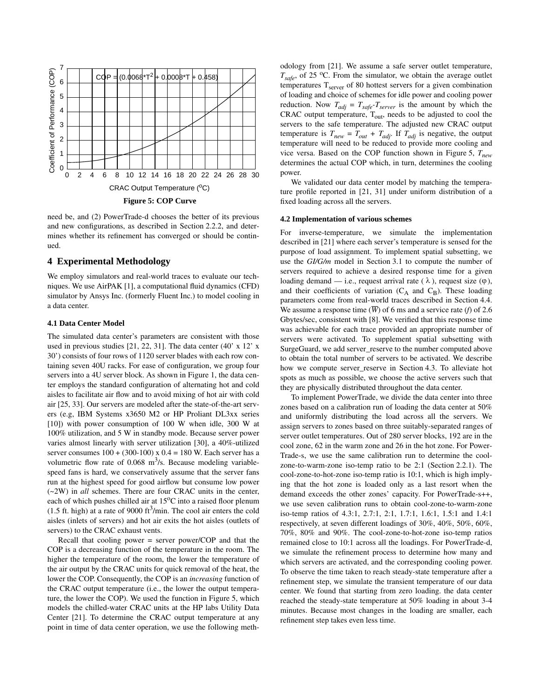

<span id="page-7-1"></span>need be, and (2) PowerTrade-d chooses the better of its previous and new configurations, as described in [Section 2.2.2](#page-4-1), and determines whether its refinement has converged or should be continued.

## <span id="page-7-0"></span>**4 Experimental Methodology**

We employ simulators and real-world traces to evaluate our techniques. We use AirPAK [1], a computational fluid dynamics (CFD) simulator by Ansys Inc. (formerly Fluent Inc.) to model cooling in a data center.

#### **4.1 Data Center Model**

The simulated data center's parameters are consistent with those used in previous studies [21, 22, 31]. The data center (40' x 12' x 30') consists of four rows of 1120 server blades with each row containing seven 40U racks. For ease of configuration, we group four servers into a 4U server block. As shown in [Figure 1](#page-3-0), the data center employs the standard configuration of alternating hot and cold aisles to facilitate air flow and to avoid mixing of hot air with cold air [25, 33]. Our servers are modeled after the state-of-the-art servers (e.g, IBM Systems x3650 M2 or HP Proliant DL3xx series [10]) with power consumption of 100 W when idle, 300 W at 100% utilization, and 5 W in standby mode. Because server power varies almost linearly with server utilization [30], a 40%-utilized server consumes  $100 + (300-100)$  x  $0.4 = 180$  W. Each server has a volumetric flow rate of  $0.068 \text{ m}^3/\text{s}$ . Because modeling variablespeed fans is hard, we conservatively assume that the server fans run at the highest speed for good airflow but consume low power (~2W) in *all* schemes. There are four CRAC units in the center, each of which pushes chilled air at  $15^{\circ}$ C into a raised floor plenum  $(1.5 \text{ ft. high})$  at a rate of 9000 ft<sup>3</sup>/min. The cool air enters the cold aisles (inlets of servers) and hot air exits the hot aisles (outlets of servers) to the CRAC exhaust vents.

Recall that cooling power = server power/COP and that the COP is a decreasing function of the temperature in the room. The higher the temperature of the room, the lower the temperature of the air output by the CRAC units for quick removal of the heat, the lower the COP. Consequently, the COP is an *increasing* function of the CRAC output temperature (i.e., the lower the output temperature, the lower the COP). We used the function in [Figure 5](#page-7-1), which models the chilled-water CRAC units at the HP labs Utility Data Center [21]. To determine the CRAC output temperature at any point in time of data center operation, we use the following methodology from [21]. We assume a safe server outlet temperature,  $T_{\text{safe}}$ , of 25 °C. From the simulator, we obtain the average outlet temperatures  $T<sub>server</sub>$  of 80 hottest servers for a given combination of loading and choice of schemes for idle power and cooling power reduction. Now  $T_{adj} = T_{safe} \cdot T_{server}$  is the amount by which the CRAC output temperature,  $T_{\text{out}}$ , needs to be adjusted to cool the servers to the safe temperature. The adjusted new CRAC output temperature is  $T_{new} = T_{out} + T_{adj}$ . If  $T_{adj}$  is negative, the output temperature will need to be reduced to provide more cooling and vice versa. Based on the COP function shown in [Figure 5,](#page-7-1) *Tnew* determines the actual COP which, in turn, determines the cooling power.

We validated our data center model by matching the temperature profile reported in [21, 31] under uniform distribution of a fixed loading across all the servers.

#### <span id="page-7-2"></span>**4.2 Implementation of various schemes**

For inverse-temperature, we simulate the implementation described in [21] where each server's temperature is sensed for the purpose of load assignment. To implement spatial subsetting, we use the *GI/G/m* model in [Section 3.1](#page-5-2) to compute the number of servers required to achieve a desired response time for a given loading demand — i.e., request arrival rate  $(\lambda)$ , request size  $(\varphi)$ , and their coefficients of variation  $(C_A \text{ and } C_B)$ . These loading parameters come from real-world traces described in [Section 4.4](#page-8-0). We assume a response time  $(\overline{W})$  of 6 ms and a service rate (*f*) of 2.6 Gbytes/sec, consistent with [8]. We verified that this response time was achievable for each trace provided an appropriate number of servers were activated. To supplement spatial subsetting with SurgeGuard, we add server\_reserve to the number computed above to obtain the total number of servers to be activated. We describe how we compute server\_reserve in [Section 4.3](#page-8-1). To alleviate hot spots as much as possible, we choose the active servers such that they are physically distributed throughout the data center.

To implement PowerTrade, we divide the data center into three zones based on a calibration run of loading the data center at 50% and uniformly distributing the load across all the servers. We assign servers to zones based on three suitably-separated ranges of server outlet temperatures. Out of 280 server blocks, 192 are in the cool zone, 62 in the warm zone and 26 in the hot zone. For Power-Trade-s, we use the same calibration run to determine the coolzone-to-warm-zone iso-temp ratio to be 2:1 [\(Section 2.2.1](#page-3-2)). The cool-zone-to-hot-zone iso-temp ratio is 10:1, which is high implying that the hot zone is loaded only as a last resort when the demand exceeds the other zones' capacity. For PowerTrade-s++, we use seven calibration runs to obtain cool-zone-to-warm-zone iso-temp ratios of 4.3:1, 2.7:1, 2:1, 1.7:1, 1.6:1, 1.5:1 and 1.4:1 respectively, at seven different loadings of 30%, 40%, 50%, 60%, 70%, 80% and 90%. The cool-zone-to-hot-zone iso-temp ratios remained close to 10:1 across all the loadings. For PowerTrade-d, we simulate the refinement process to determine how many and which servers are activated, and the corresponding cooling power. To observe the time taken to reach steady-state temperature after a refinement step, we simulate the transient temperature of our data center. We found that starting from zero loading. the data center reached the steady-state temperature at 50% loading in about 3-4 minutes. Because most changes in the loading are smaller, each refinement step takes even less time.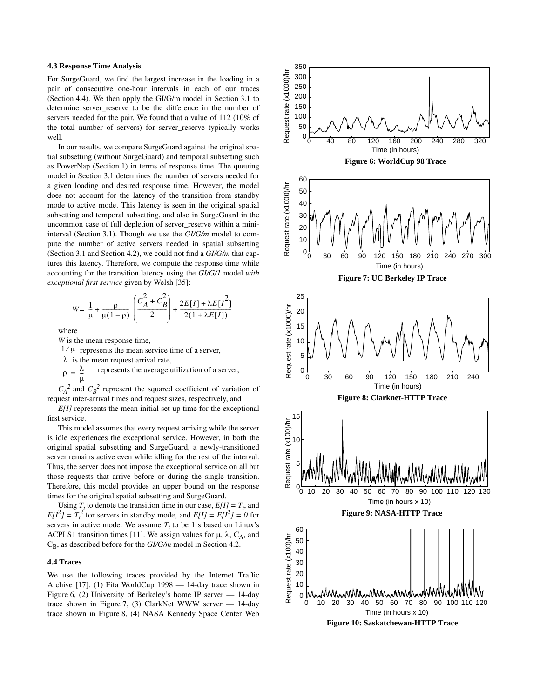#### <span id="page-8-1"></span>**4.3 Response Time Analysis**

For SurgeGuard, we find the largest increase in the loading in a pair of consecutive one-hour intervals in each of our traces ([Section 4.4](#page-8-0)). We then apply the GI/G/m model in [Section 3.1](#page-5-2) to determine server\_reserve to be the difference in the number of servers needed for the pair. We found that a value of 112 (10% of the total number of servers) for server\_reserve typically works well.

In our results, we compare SurgeGuard against the original spatial subsetting (without SurgeGuard) and temporal subsetting such as PowerNap [\(Section 1](#page-0-0)) in terms of response time. The queuing model in [Section 3.1](#page-5-2) determines the number of servers needed for a given loading and desired response time. However, the model does not account for the latency of the transition from standby mode to active mode. This latency is seen in the original spatial subsetting and temporal subsetting, and also in SurgeGuard in the uncommon case of full depletion of server\_reserve within a miniinterval [\(Section 3.1\)](#page-5-2). Though we use the *GI/G/m* model to compute the number of active servers needed in spatial subsetting (Section 3.1 and Section 4.2), we could not find a *GI/G/m* that captures this latency. Therefore, we compute the response time while accounting for the transition latency using the *GI/G/1* model *with exceptional first service* given by Welsh [35]:

<span id="page-8-3"></span>
$$
\overline{W} = \frac{1}{\mu} + \frac{\rho}{\mu(1-\rho)} \left( \frac{C_A^2 + C_B^2}{2} \right) + \frac{2E[I] + \lambda E[I^2]}{2(1 + \lambda E[I])}
$$

where

 $\overline{W}$  is the mean response time,

- $1/\mu$  represents the mean service time of a server,
- $\lambda$  is the mean request arrival rate,

<span id="page-8-4"></span> represents the average utilization of a server,  $ρ = 2$ λ µ

 $C_A^2$  and  $C_B^2$  represent the squared coefficient of variation of request inter-arrival times and request sizes, respectively, and

*E[I]* represents the mean initial set-up time for the exceptional first service.

This model assumes that every request arriving while the server is idle experiences the exceptional service. However, in both the original spatial subsetting and SurgeGuard, a newly-transitioned server remains active even while idling for the rest of the interval. Thus, the server does not impose the exceptional service on all but those requests that arrive before or during the single transition. Therefore, this model provides an upper bound on the response times for the original spatial subsetting and SurgeGuard.

<span id="page-8-5"></span>Using  $T_t$  to denote the transition time in our case,  $E[I] = T_t$ , and  $E[I^2] = T_t^2$  for servers in standby mode, and  $E[I] = E[I^2] = 0$  for servers in active mode. We assume  $T<sub>t</sub>$  to be 1 s based on Linux's ACPI S1 transition times [11]. We assign values for  $\mu$ ,  $\lambda$ ,  $C_A$ , and C<sub>B</sub>, as described before for the *GI/G/m* model in [Section 4.2](#page-7-2).

## <span id="page-8-0"></span>**4.4 Traces**

<span id="page-8-6"></span>We use the following traces provided by the Internet Traffic Archive [17]: (1) Fifa WorldCup 1998 — 14-day trace shown in [Figure 6](#page-8-2), (2) University of Berkeley's home IP server — 14-day trace shown in [Figure 7,](#page-8-3) (3) ClarkNet WWW server — 14-day trace shown in [Figure 8](#page-8-4), (4) NASA Kennedy Space Center Web

<span id="page-8-2"></span>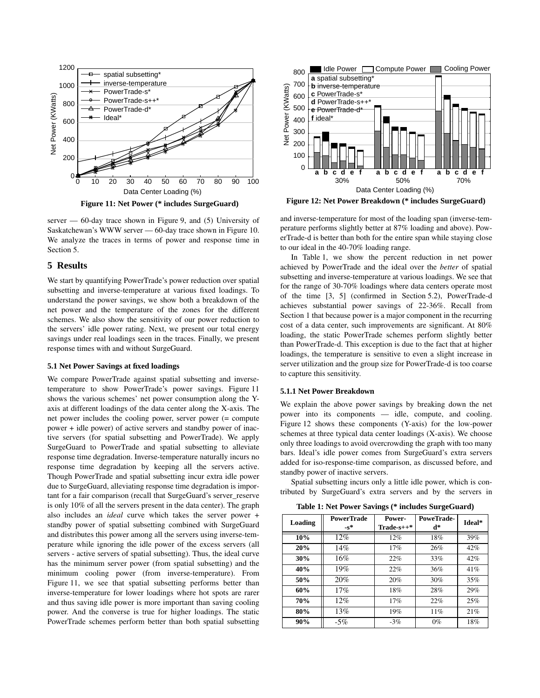

<span id="page-9-1"></span>server  $-60$ -day trace shown in [Figure 9](#page-8-5), and (5) University of Saskatchewan's WWW server — 60-day trace shown in [Figure 10.](#page-8-6) We analyze the traces in terms of power and response time in

#### <span id="page-9-0"></span>**5 Results**

[Section 5.](#page-9-0)

We start by quantifying PowerTrade's power reduction over spatial subsetting and inverse-temperature at various fixed loadings. To understand the power savings, we show both a breakdown of the net power and the temperature of the zones for the different schemes. We also show the sensitivity of our power reduction to the servers' idle power rating. Next, we present our total energy savings under real loadings seen in the traces. Finally, we present response times with and without SurgeGuard.

#### **5.1 Net Power Savings at fixed loadings**

We compare PowerTrade against spatial subsetting and inversetemperature to show PowerTrade's power savings. [Figure 11](#page-9-1) shows the various schemes' net power consumption along the Yaxis at different loadings of the data center along the X-axis. The net power includes the cooling power, server power (= compute power + idle power) of active servers and standby power of inactive servers (for spatial subsetting and PowerTrade). We apply SurgeGuard to PowerTrade and spatial subsetting to alleviate response time degradation. Inverse-temperature naturally incurs no response time degradation by keeping all the servers active. Though PowerTrade and spatial subsetting incur extra idle power due to SurgeGuard, alleviating response time degradation is important for a fair comparison (recall that SurgeGuard's server\_reserve is only 10% of all the servers present in the data center). The graph also includes an *ideal* curve which takes the server power + standby power of spatial subsetting combined with SurgeGuard and distributes this power among all the servers using inverse-temperature while ignoring the idle power of the excess servers (all servers - active servers of spatial subsetting). Thus, the ideal curve has the minimum server power (from spatial subsetting) and the minimum cooling power (from inverse-temperature). From [Figure 11,](#page-9-1) we see that spatial subsetting performs better than inverse-temperature for lower loadings where hot spots are rarer and thus saving idle power is more important than saving cooling power. And the converse is true for higher loadings. The static PowerTrade schemes perform better than both spatial subsetting



<span id="page-9-3"></span>

and inverse-temperature for most of the loading span (inverse-temperature performs slightly better at 87% loading and above). PowerTrade-d is better than both for the entire span while staying close to our ideal in the 40-70% loading range.

In [Table 1,](#page-9-2) we show the percent reduction in net power achieved by PowerTrade and the ideal over the *better* of spatial subsetting and inverse-temperature at various loadings. We see that for the range of 30-70% loadings where data centers operate most of the time [3, 5] (confirmed in [Section 5.2](#page-10-0)), PowerTrade-d achieves substantial power savings of 22-36%. Recall from [Section 1](#page-0-0) that because power is a major component in the recurring cost of a data center, such improvements are significant. At 80% loading, the static PowerTrade schemes perform slightly better than PowerTrade-d. This exception is due to the fact that at higher loadings, the temperature is sensitive to even a slight increase in server utilization and the group size for PowerTrade-d is too coarse to capture this sensitivity.

#### **5.1.1 Net Power Breakdown**

We explain the above power savings by breaking down the net power into its components — idle, compute, and cooling. [Figure 12](#page-9-3) shows these components (Y-axis) for the low-power schemes at three typical data center loadings (X-axis). We choose only three loadings to avoid overcrowding the graph with too many bars. Ideal's idle power comes from SurgeGuard's extra servers added for iso-response-time comparison, as discussed before, and standby power of inactive servers.

Spatial subsetting incurs only a little idle power, which is contributed by SurgeGuard's extra servers and by the servers in

**Table 1: Net Power Savings (\* includes SurgeGuard)**

<span id="page-9-2"></span>

| Loading | <b>PowerTrade</b><br>$-s^*$ | Power-<br>$Trade - s++*$ | PoweTrade-<br>d* | Ideal* |
|---------|-----------------------------|--------------------------|------------------|--------|
| 10%     | 12%                         | $\overline{12\%}$        | 18%              | 39%    |
| 20%     | 14%                         | 17%                      | 26%              | 42%    |
| 30%     | 16%                         | 22%                      | 33%              | 42%    |
| 40%     | 19%                         | 22%                      | 36%              | 41%    |
| 50%     | 20%                         | 20%                      | 30%              | 35%    |
| 60%     | 17%                         | 18%                      | 28%              | 29%    |
| 70%     | 12%                         | 17%                      | 22%              | 25%    |
| 80%     | 13%                         | 19%                      | 11%              | 21%    |
| 90%     | $-5\%$                      | $-3%$                    | $0\%$            | 18%    |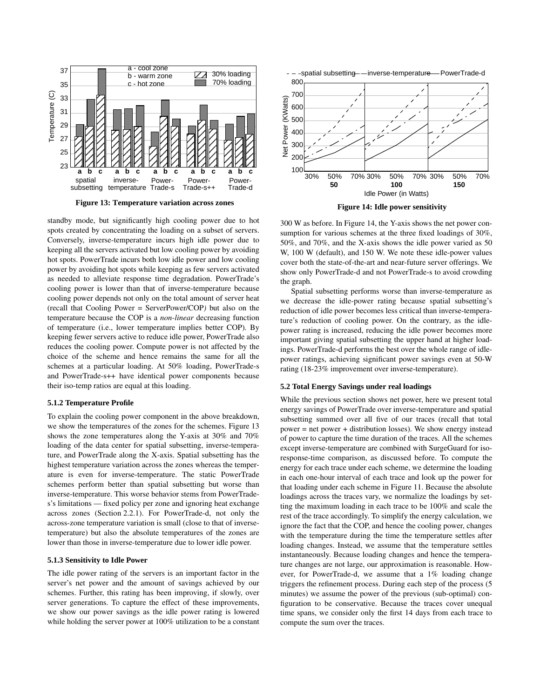

**Figure 13: Temperature variation across zones**

<span id="page-10-1"></span>standby mode, but significantly high cooling power due to hot spots created by concentrating the loading on a subset of servers. Conversely, inverse-temperature incurs high idle power due to keeping all the servers activated but low cooling power by avoiding hot spots. PowerTrade incurs both low idle power and low cooling power by avoiding hot spots while keeping as few servers activated as needed to alleviate response time degradation. PowerTrade's cooling power is lower than that of inverse-temperature because cooling power depends not only on the total amount of server heat (recall that Cooling Power = ServerPower/COP*)* but also on the temperature because the COP is a *non-linear* decreasing function of temperature (i.e., lower temperature implies better COP)*.* By keeping fewer servers active to reduce idle power, PowerTrade also reduces the cooling power. Compute power is not affected by the choice of the scheme and hence remains the same for all the schemes at a particular loading. At 50% loading, PowerTrade-s and PowerTrade-s++ have identical power components because their iso-temp ratios are equal at this loading.

#### **5.1.2 Temperature Profile**

To explain the cooling power component in the above breakdown, we show the temperatures of the zones for the schemes. [Figure 13](#page-10-1) shows the zone temperatures along the Y-axis at 30% and 70% loading of the data center for spatial subsetting, inverse-temperature, and PowerTrade along the X-axis. Spatial subsetting has the highest temperature variation across the zones whereas the temperature is even for inverse-temperature. The static PowerTrade schemes perform better than spatial subsetting but worse than inverse-temperature. This worse behavior stems from PowerTrades's limitations — fixed policy per zone and ignoring heat exchange across zones ([Section 2.2.1\)](#page-3-2). For PowerTrade-d, not only the across-zone temperature variation is small (close to that of inversetemperature) but also the absolute temperatures of the zones are lower than those in inverse-temperature due to lower idle power.

#### **5.1.3 Sensitivity to Idle Power**

The idle power rating of the servers is an important factor in the server's net power and the amount of savings achieved by our schemes. Further, this rating has been improving, if slowly, over server generations. To capture the effect of these improvements, we show our power savings as the idle power rating is lowered while holding the server power at 100% utilization to be a constant





**Figure 14: Idle power sensitivity**

<span id="page-10-2"></span>300 W as before. In [Figure 14](#page-10-2), the Y-axis shows the net power consumption for various schemes at the three fixed loadings of 30%, 50%, and 70%, and the X-axis shows the idle power varied as 50 W, 100 W (default), and 150 W. We note these idle-power values cover both the state-of-the-art and near-future server offerings. We show only PowerTrade-d and not PowerTrade-s to avoid crowding the graph.

Spatial subsetting performs worse than inverse-temperature as we decrease the idle-power rating because spatial subsetting's reduction of idle power becomes less critical than inverse-temperature's reduction of cooling power. On the contrary, as the idlepower rating is increased, reducing the idle power becomes more important giving spatial subsetting the upper hand at higher loadings. PowerTrade-d performs the best over the whole range of idlepower ratings, achieving significant power savings even at 50-W rating (18-23% improvement over inverse-temperature).

#### <span id="page-10-0"></span>**5.2 Total Energy Savings under real loadings**

While the previous section shows net power, here we present total energy savings of PowerTrade over inverse-temperature and spatial subsetting summed over all five of our traces (recall that total power = net power + distribution losses). We show energy instead of power to capture the time duration of the traces. All the schemes except inverse-temperature are combined with SurgeGuard for isoresponse-time comparison, as discussed before. To compute the energy for each trace under each scheme, we determine the loading in each one-hour interval of each trace and look up the power for that loading under each scheme in [Figure 11](#page-9-1). Because the absolute loadings across the traces vary, we normalize the loadings by setting the maximum loading in each trace to be 100% and scale the rest of the trace accordingly. To simplify the energy calculation, we ignore the fact that the COP, and hence the cooling power, changes with the temperature during the time the temperature settles after loading changes. Instead, we assume that the temperature settles instantaneously. Because loading changes and hence the temperature changes are not large, our approximation is reasonable. However, for PowerTrade-d, we assume that a 1% loading change triggers the refinement process. During each step of the process (5 minutes) we assume the power of the previous (sub-optimal) configuration to be conservative. Because the traces cover unequal time spans, we consider only the first 14 days from each trace to compute the sum over the traces.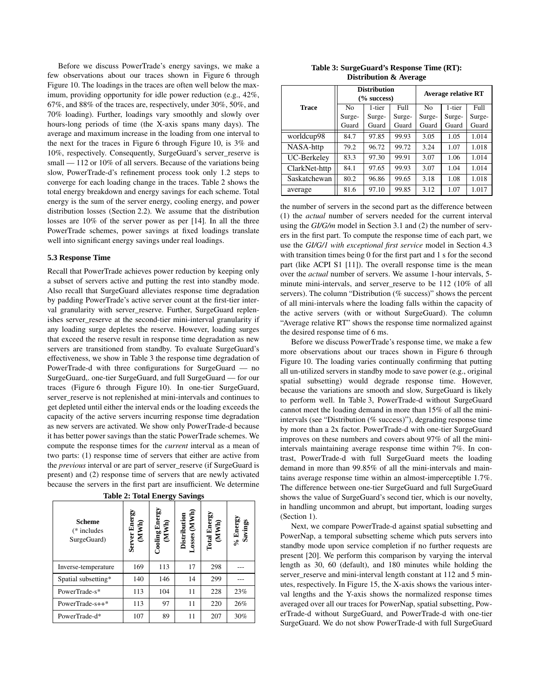Before we discuss PowerTrade's energy savings, we make a few observations about our traces shown in [Figure 6](#page-8-2) through [Figure 10.](#page-8-6) The loadings in the traces are often well below the maximum, providing opportunity for idle power reduction (e.g., 42%, 67%, and 88% of the traces are, respectively, under 30%, 50%, and 70% loading). Further, loadings vary smoothly and slowly over hours-long periods of time (the X-axis spans many days). The average and maximum increase in the loading from one interval to the next for the traces in [Figure 6](#page-8-2) through [Figure 10](#page-8-6), is 3% and 10%, respectively. Consequently, SurgeGuard's server\_reserve is small — 112 or 10% of all servers. Because of the variations being slow, PowerTrade-d's refinement process took only 1.2 steps to converge for each loading change in the traces. [Table 2](#page-11-0) shows the total energy breakdown and energy savings for each scheme. Total energy is the sum of the server energy, cooling energy, and power distribution losses ([Section 2.2](#page-2-0)). We assume that the distribution losses are 10% of the server power as per [14]. In all the three PowerTrade schemes, power savings at fixed loadings translate well into significant energy savings under real loadings.

#### **5.3 Response Time**

Recall that PowerTrade achieves power reduction by keeping only a subset of servers active and putting the rest into standby mode. Also recall that SurgeGuard alleviates response time degradation by padding PowerTrade's active server count at the first-tier interval granularity with server\_reserve. Further, SurgeGuard replenishes server\_reserve at the second-tier mini-interval granularity if any loading surge depletes the reserve. However, loading surges that exceed the reserve result in response time degradation as new servers are transitioned from standby. To evaluate SurgeGuard's effectiveness, we show in [Table 3](#page-11-1) the response time degradation of PowerTrade-d with three configurations for SurgeGuard — no SurgeGuard,. one-tier SurgeGuard, and full SurgeGuard — for our traces ([Figure 6](#page-8-2) through [Figure 10](#page-8-6)). In one-tier SurgeGuard, server\_reserve is not replenished at mini-intervals and continues to get depleted until either the interval ends or the loading exceeds the capacity of the active servers incurring response time degradation as new servers are activated. We show only PowerTrade-d because it has better power savings than the static PowerTrade schemes. We compute the response times for the *current* interval as a mean of two parts: (1) response time of servers that either are active from the *previous* interval or are part of server\_reserve (if SurgeGuard is present) and (2) response time of servers that are newly activated because the servers in the first part are insufficient. We determine

| <b>Table 2: Total Energy Savings</b> |  |  |  |
|--------------------------------------|--|--|--|
|--------------------------------------|--|--|--|

<span id="page-11-0"></span>

| <b>Scheme</b><br>$(*)$ includes<br>SurgeGuard) | Server Energy<br>(MWh) | Cooling Energy<br>(MWh) | Distribution<br>Losses (MWh) | Total Energy<br>(MWh) | $%$ Energy<br>Savings |
|------------------------------------------------|------------------------|-------------------------|------------------------------|-----------------------|-----------------------|
| Inverse-temperature                            | 169                    | 113                     | 17                           | 298                   |                       |
| Spatial subsetting*                            | 140                    | 146                     | 14                           | 299                   |                       |
| PowerTrade-s*                                  | 113                    | 104                     | 11                           | 228                   | 23%                   |
| PowerTrade-s++*                                | 113                    | 97                      | 11                           | 220                   | 26%                   |
| PowerTrade-d*                                  | 107                    | 89                      | 11                           | 207                   | 30%                   |

| Table 3: SurgeGuard's Response Time (RT): |  |
|-------------------------------------------|--|
| Distribution & Average                    |  |

<span id="page-11-1"></span>

|               | <b>Distribution</b><br>$\frac{6}{6}$ success) |        |        | <b>Average relative RT</b> |        |        |
|---------------|-----------------------------------------------|--------|--------|----------------------------|--------|--------|
| Trace         | N <sub>0</sub>                                | 1-tier | Full   | N <sub>0</sub>             | 1-tier | Full   |
|               | Surge-                                        | Surge- | Surge- | Surge-                     | Surge- | Surge- |
|               | Guard                                         | Guard  | Guard  | Guard                      | Guard  | Guard  |
| worldcup98    | 84.7                                          | 97.85  | 99.93  | 3.05                       | 1.05   | 1.014  |
| NASA-http     | 79.2                                          | 96.72  | 99.72  | 3.24                       | 1.07   | 1.018  |
| UC-Berkeley   | 83.3                                          | 97.30  | 99.91  | 3.07                       | 1.06   | 1.014  |
| ClarkNet-http | 84.1                                          | 97.65  | 99.93  | 3.07                       | 1.04   | 1.014  |
| Saskatchewan  | 80.2                                          | 96.86  | 99.65  | 3.18                       | 1.08   | 1.018  |
| average       | 81.6                                          | 97.10  | 99.85  | 3.12                       | 1.07   | 1.017  |

the number of servers in the second part as the difference between (1) the *actual* number of servers needed for the current interval using the *GI/G/m* model in [Section 3.1](#page-5-2) and (2) the number of servers in the first part. To compute the response time of each part, we use the *GI/G/1 with exceptional first service* model in [Section 4.3](#page-8-1) with transition times being 0 for the first part and 1 s for the second part (like ACPI S1 [11]). The overall response time is the mean over the *actual* number of servers. We assume 1-hour intervals, 5 minute mini-intervals, and server reserve to be 112 (10% of all servers). The column "Distribution (% success)" shows the percent of all mini-intervals where the loading falls within the capacity of the active servers (with or without SurgeGuard). The column "Average relative RT" shows the response time normalized against the desired response time of 6 ms.

Before we discuss PowerTrade's response time, we make a few more observations about our traces shown in [Figure 6](#page-8-2) through [Figure 10.](#page-8-6) The loading varies continually confirming that putting all un-utilized servers in standby mode to save power (e.g., original spatial subsetting) would degrade response time. However, because the variations are smooth and slow, SurgeGuard is likely to perform well. In [Table 3,](#page-11-1) PowerTrade-d without SurgeGuard cannot meet the loading demand in more than 15% of all the miniintervals (see "Distribution (% success)"), degrading response time by more than a 2x factor. PowerTrade-d with one-tier SurgeGuard improves on these numbers and covers about 97% of all the miniintervals maintaining average response time within 7%. In contrast, PowerTrade-d with full SurgeGuard meets the loading demand in more than 99.85% of all the mini-intervals and maintains average response time within an almost-imperceptible 1.7%. The difference between one-tier SurgeGuard and full SurgeGuard shows the value of SurgeGuard's second tier, which is our novelty, in handling uncommon and abrupt, but important, loading surges ([Section 1\)](#page-0-0).

Next, we compare PowerTrade-d against spatial subsetting and PowerNap, a temporal subsetting scheme which puts servers into standby mode upon service completion if no further requests are present [20]. We perform this comparison by varying the interval length as 30, 60 (default), and 180 minutes while holding the server reserve and mini-interval length constant at 112 and 5 minutes, respectively. In [Figure 15](#page-12-2), the X-axis shows the various interval lengths and the Y-axis shows the normalized response times averaged over all our traces for PowerNap, spatial subsetting, PowerTrade-d without SurgeGuard, and PowerTrade-d with one-tier SurgeGuard. We do not show PowerTrade-d with full SurgeGuard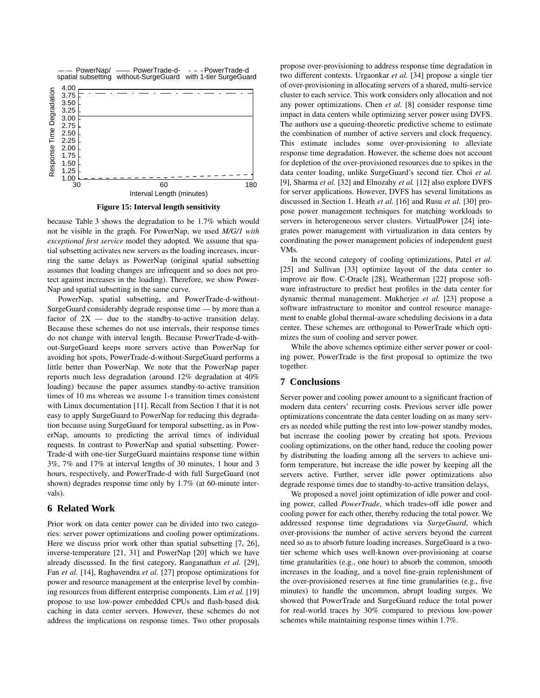

**Figure 15: Interval length sensitivity**

<span id="page-12-2"></span>because [Table 3](#page-11-1) shows the degradation to be 1.7% which would not be visible in the graph. For PowerNap, we used *M/G/1 with exceptional first service* model they adopted. We assume that spatial subsetting activates new servers as the loading increases, incurring the same delays as PowerNap (original spatial subsetting assumes that loading changes are infrequent and so does not protect against increases in the loading). Therefore, we show Power-Nap and spatial subsetting in the same curve.

PowerNap, spatial subsetting, and PowerTrade-d-without-SurgeGuard considerably degrade response time — by more than a factor of  $2X$  — due to the standby-to-active transition delay. Because these schemes do not use intervals, their response times do not change with interval length. Because PowerTrade-d-without-SurgeGuard keeps more servers active than PowerNap for avoiding hot spots, PowerTrade-d-without-SurgeGuard performs a little better than PowerNap. We note that the PowerNap paper reports much less degradation (around 12% degradation at 40% loading) because the paper assumes standby-to-active transition times of 10 ms whereas we assume 1-s transition times consistent with Linux documentation [11]. Recall from [Section 1](#page-0-0) that it is not easy to apply SurgeGuard to PowerNap for reducing this degradation because using SurgeGuard for temporal subsetting, as in PowerNap, amounts to predicting the arrival times of individual requests. In contrast to PowerNap and spatial subsetting. Power-Trade-d with one-tier SurgeGuard maintains response time within 3%, 7% and 17% at interval lengths of 30 minutes, 1 hour and 3 hours, respectively, and PowerTrade-d with full SurgeGuard (not shown) degrades response time only by 1.7% (at 60-minute intervals).

## <span id="page-12-0"></span>**6 Related Work**

Prior work on data center power can be divided into two categories: server power optimizations and cooling power optimizations. Here we discuss prior work other than spatial subsetting [7, 26], inverse-temperature [21, 31] and PowerNap [20] which we have already discussed. In the first category, Ranganathan *et al.* [29], Fan *et al.* [14], Raghavendra *et al.* [27] propose optimizations for power and resource management at the enterprise level by combining resources from different enterprise components. Lim *et al.* [19] propose to use low-power embedded CPUs and flash-based disk caching in data center servers. However, these schemes do not address the implications on response times. Two other proposals propose over-provisioning to address response time degradation in two different contexts. Urgaonkar *et al.* [34] propose a single tier of over-provisioning in allocating servers of a shared, multi-service cluster to each service. This work considers only allocation and not any power optimizations. Chen *et al.* [8] consider response time impact in data centers while optimizing server power using DVFS. The authors use a queuing-theoretic predictive scheme to estimate the combination of number of active servers and clock frequency. This estimate includes some over-provisioning to alleviate response time degradation. However, the scheme does not account for depletion of the over-provisioned resources due to spikes in the data center loading, unlike SurgeGuard's second tier. Choi *et al.* [9], Sharma *et al.* [32] and Elnozahy *et al.* [12] also explore DVFS for server applications. However, DVFS has several limitations as discussed in [Section 1.](#page-0-0) Heath *et al.* [16] and Rusu *et al.* [30] propose power management techniques for matching workloads to servers in heterogeneous server clusters. VirtualPower [24] integrates power management with virtualization in data centers by coordinating the power management policies of independent guest VMs.

In the second category of cooling optimizations, Patel *et al.* [25] and Sullivan [33] optimize layout of the data center to improve air flow. C-Oracle [28], Weatherman [22] propose software infrastructure to predict heat profiles in the data center for dynamic thermal management. Mukherjee *et al.* [23] propose a software infrastructure to monitor and control resource management to enable global thermal-aware scheduling decisions in a data center. These schemes are orthogonal to PowerTrade which optimizes the sum of cooling and server power.

While the above schemes optimize either server power or cooling power, PowerTrade is the first proposal to optimize the two together.

## <span id="page-12-1"></span>**7 Conclusions**

Server power and cooling power amount to a significant fraction of modern data centers' recurring costs. Previous server idle power optimizations concentrate the data center loading on as many servers as needed while putting the rest into low-power standby modes, but increase the cooling power by creating hot spots. Previous cooling optimizations, on the other hand, reduce the cooling power by distributing the loading among all the servers to achieve uniform temperature, but increase the idle power by keeping all the servers active. Further, server idle power optimizations also degrade response times due to standby-to-active transition delays,

We proposed a novel joint optimization of idle power and cooling power, called *PowerTrade*, which trades-off idle power and cooling power for each other, thereby reducing the total power. We addressed response time degradations via *SurgeGuard*, which over-provisions the number of active servers beyond the current need so as to absorb future loading increases. SurgeGuard is a twotier scheme which uses well-known over-provisioning at coarse time granularities (e.g., one hour) to absorb the common, smooth increases in the loading, and a novel fine-grain replenishment of the over-provisioned reserves at fine time granularities (e.g., five minutes) to handle the uncommon, abrupt loading surges. We showed that PowerTrade and SurgeGuard reduce the total power for real-world traces by 30% compared to previous low-power schemes while maintaining response times within 1.7%.